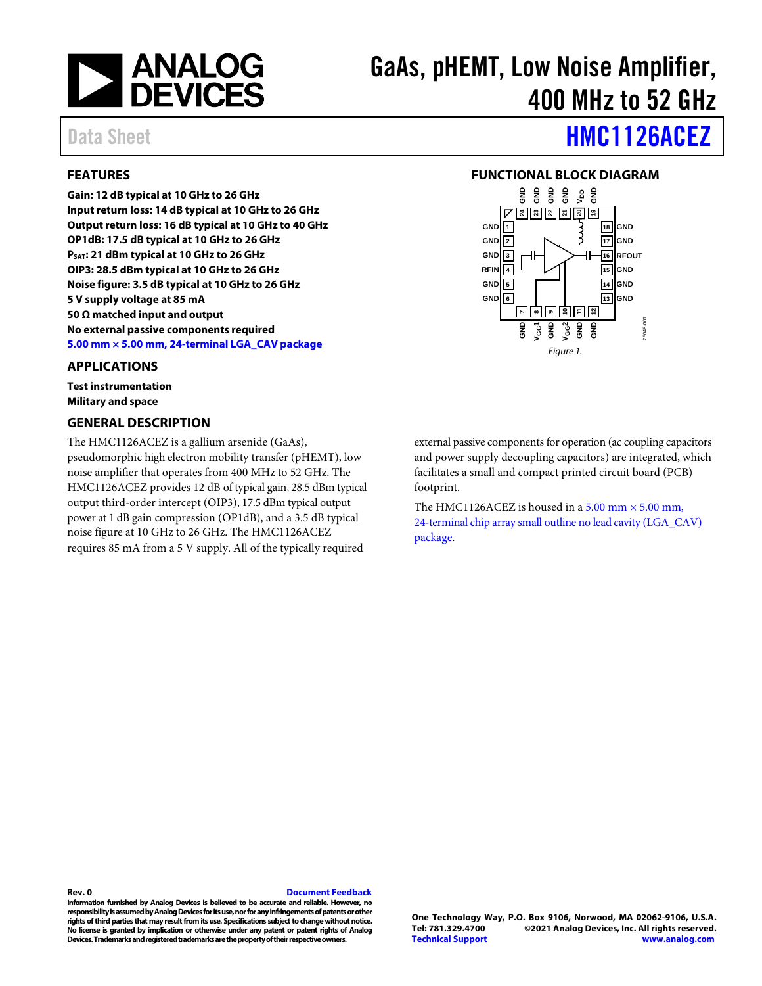

# GaAs, pHEMT, Low Noise Amplifier, 400 MHz to 52 GHz

## <span id="page-0-0"></span>**FEATURES**

**Gain: 12 dB typical at 10 GHz to 26 GHz Input return loss: 14 dB typical at 10 GHz to 26 GHz Output return loss: 16 dB typical at 10 GHz to 40 GHz OP1dB: 17.5 dB typical at 10 GHz to 26 GHz PSAT: 21 dBm typical at 10 GHz to 26 GHz OIP3: 28.5 dBm typical at 10 GHz to 26 GHz Noise figure: 3.5 dB typical at 10 GHz to 26 GHz 5 V supply voltage at 85 mA 50 Ω matched input and output No external passive components required 5.00 mm × [5.00 mm, 24-terminal](#page-20-0) LGA\_CAV package**

#### <span id="page-0-1"></span>**APPLICATIONS**

**Test instrumentation Military and space**

#### <span id="page-0-3"></span>**GENERAL DESCRIPTION**

The [HMC1126ACEZ](http://www.analog.com/HMC1126?doc=HMC1126.pdf) is a gallium arsenide (GaAs), pseudomorphic high electron mobility transfer (pHEMT), low noise amplifier that operates from 400 MHz to 52 GHz. The HMC1126ACEZ provides 12 dB of typical gain, 28.5 dBm typical output third-order intercept (OIP3), 17.5 dBm typical output power at 1 dB gain compression (OP1dB), and a 3.5 dB typical noise figure at 10 GHz to 26 GHz. The HMC1126ACEZ requires 85 mA from a 5 V supply. All of the typically required

Data Sheet **[HMC1126ACEZ](https://www.analog.com/HMC1126ACEZ?doc=HMC1126ACEZ.pdf)** 

#### <span id="page-0-2"></span>**FUNCTIONAL BLOCK DIAGRAM**



external passive components for operation (ac coupling capacitors and power supply decoupling capacitors) are integrated, which facilitates a small and compact printed circuit board (PCB) footprint.

The HMC1126ACEZ is housed in a  $5.00$  mm  $\times$   $5.00$  mm, [24-terminal chip array small outline no lead cavity \(LGA\\_CAV\)](#page-20-0) [package.](#page-20-0)

**Rev. 0 [Document Feedback](https://form.analog.com/Form_Pages/feedback/documentfeedback.aspx?doc=HMC1126ACEZ.pdf&product=HMC1126ACEZ&rev=0)**

**Information furnished by Analog Devices is believed to be accurate and reliable. However, no responsibility is assumed by Analog Devices for its use, nor for any infringements of patents or other rights ofthird parties that may result from its use. Specifications subject to change without notice. No license is granted by implication or otherwise under any patent or patent rights of Analog Devices. Trademarks and registered trademarksare the property of their respective owners.**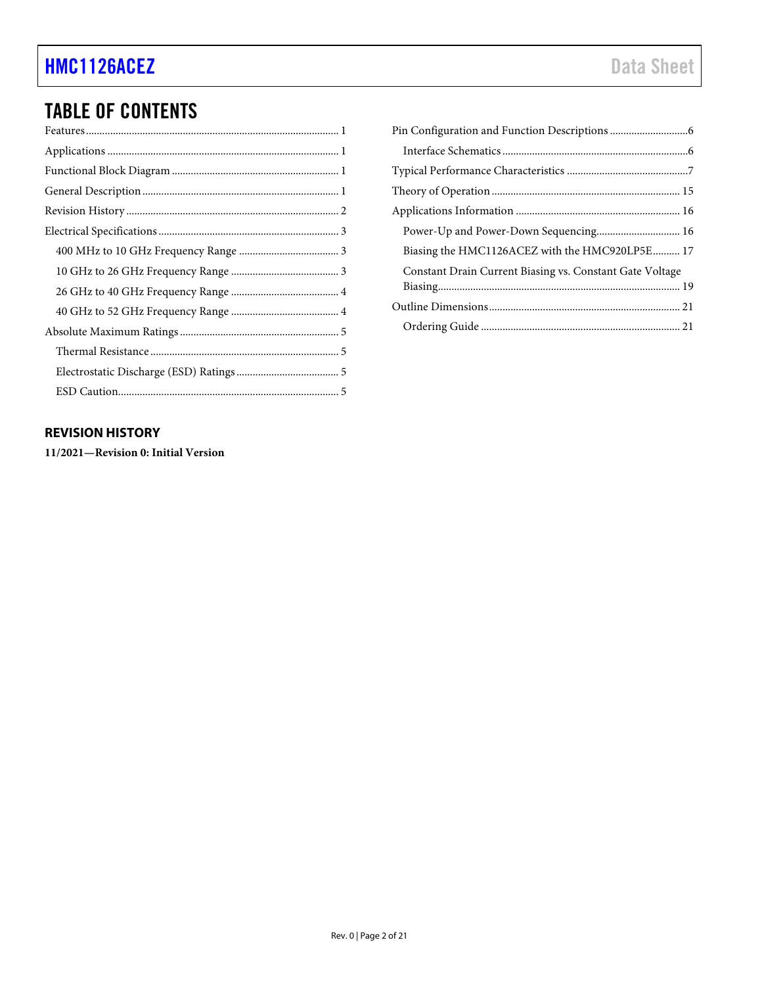## TABLE OF CONTENTS

## <span id="page-1-0"></span>**REVISION HISTORY**

**11/2021—Revision 0: Initial Version**

| Power-Up and Power-Down Sequencing 16                    |
|----------------------------------------------------------|
| Biasing the HMC1126ACEZ with the HMC920LP5E  17          |
| Constant Drain Current Biasing vs. Constant Gate Voltage |
|                                                          |
|                                                          |
|                                                          |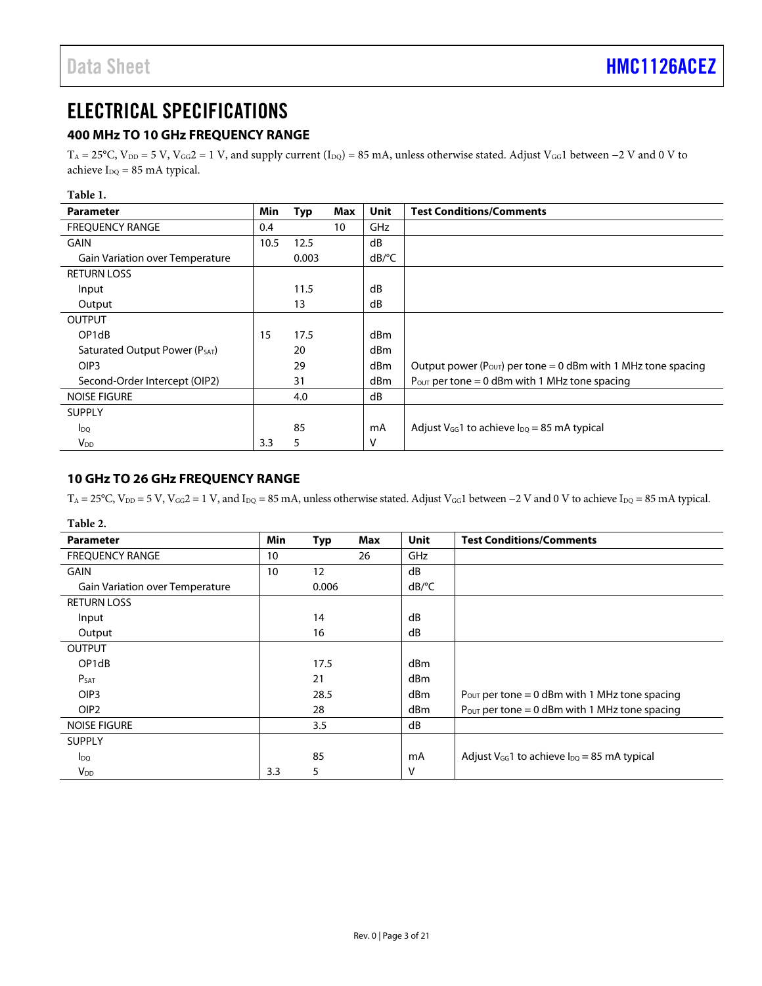## <span id="page-2-0"></span>ELECTRICAL SPECIFICATIONS

## <span id="page-2-1"></span>**400 MHz TO 10 GHz FREQUENCY RANGE**

 $T_A = 25$ °C,  $V_{DD} = 5$  V,  $V_{GG} = 1$  V, and supply current (I<sub>DQ</sub>) = 85 mA, unless otherwise stated. Adjust V<sub>GG</sub>1 between −2 V and 0 V to achieve  $I_{DQ} = 85$  mA typical.

| Table 1.                               |               |       |     |                       |                                                                            |
|----------------------------------------|---------------|-------|-----|-----------------------|----------------------------------------------------------------------------|
| <b>Parameter</b>                       | Min           | Typ   | Max | Unit                  | <b>Test Conditions/Comments</b>                                            |
| <b>FREQUENCY RANGE</b>                 | $0.4^{\circ}$ |       | 10  | GHz                   |                                                                            |
| <b>GAIN</b>                            | 10.5          | 12.5  |     | dB                    |                                                                            |
| <b>Gain Variation over Temperature</b> |               | 0.003 |     | $dB$ <sup>o</sup> $C$ |                                                                            |
| <b>RETURN LOSS</b>                     |               |       |     |                       |                                                                            |
| Input                                  |               | 11.5  |     | dB                    |                                                                            |
| Output                                 |               | 13    |     | dB                    |                                                                            |
| <b>OUTPUT</b>                          |               |       |     |                       |                                                                            |
| OP <sub>1</sub> d <sub>B</sub>         | 15            | 17.5  |     | dBm                   |                                                                            |
| Saturated Output Power (PSAT)          |               | 20    |     | dBm                   |                                                                            |
| OIP <sub>3</sub>                       |               | 29    |     | dBm                   | Output power ( $P_{\text{OUT}}$ ) per tone = 0 dBm with 1 MHz tone spacing |
| Second-Order Intercept (OIP2)          |               | 31    |     | dBm                   | Pour per tone = 0 dBm with 1 MHz tone spacing                              |
| <b>NOISE FIGURE</b>                    |               | 4.0   |     | dB                    |                                                                            |
| <b>SUPPLY</b>                          |               |       |     |                       |                                                                            |
| $I_{DO}$                               |               | 85    |     | mA                    | Adjust $V_{GG}$ 1 to achieve $I_{DQ}$ = 85 mA typical                      |
| $V_{DD}$                               | 3.3           | 5     |     | v                     |                                                                            |

### <span id="page-2-2"></span>**10 GHz TO 26 GHz FREQUENCY RANGE**

T<sub>A</sub> = 25°C, V<sub>DD</sub> = 5 V, V<sub>GG</sub>2 = 1 V, and I<sub>DQ</sub> = 85 mA, unless otherwise stated. Adjust V<sub>GG</sub>1 between −2 V and 0 V to achieve I<sub>DQ</sub> = 85 mA typical.

| Table 2.                               |     |       |     |                       |                                                           |
|----------------------------------------|-----|-------|-----|-----------------------|-----------------------------------------------------------|
| <b>Parameter</b>                       | Min | Typ   | Max | Unit                  | <b>Test Conditions/Comments</b>                           |
| <b>FREQUENCY RANGE</b>                 | 10  |       | 26  | <b>GHz</b>            |                                                           |
| GAIN                                   | 10  | 12    |     | dB                    |                                                           |
| <b>Gain Variation over Temperature</b> |     | 0.006 |     | $dB$ <sup>o</sup> $C$ |                                                           |
| <b>RETURN LOSS</b>                     |     |       |     |                       |                                                           |
| Input                                  |     | 14    |     | dB                    |                                                           |
| Output                                 |     | 16    |     | dB                    |                                                           |
| <b>OUTPUT</b>                          |     |       |     |                       |                                                           |
| OP <sub>1</sub> d <sub>B</sub>         |     | 17.5  |     | dBm                   |                                                           |
| P <sub>SAT</sub>                       |     | 21    |     | dBm                   |                                                           |
| OIP <sub>3</sub>                       |     | 28.5  |     | dBm                   | $P_{\text{OUT}}$ per tone = 0 dBm with 1 MHz tone spacing |
| OIP <sub>2</sub>                       |     | 28    |     | dBm                   | $P_{\text{OUT}}$ per tone = 0 dBm with 1 MHz tone spacing |
| <b>NOISE FIGURE</b>                    |     | 3.5   |     | dB                    |                                                           |
| <b>SUPPLY</b>                          |     |       |     |                       |                                                           |
| $I_{DO}$                               |     | 85    |     | mA                    | Adjust $V_{GG}$ 1 to achieve $I_{DQ}$ = 85 mA typical     |
| $V_{DD}$                               | 3.3 | 5     |     | ٧                     |                                                           |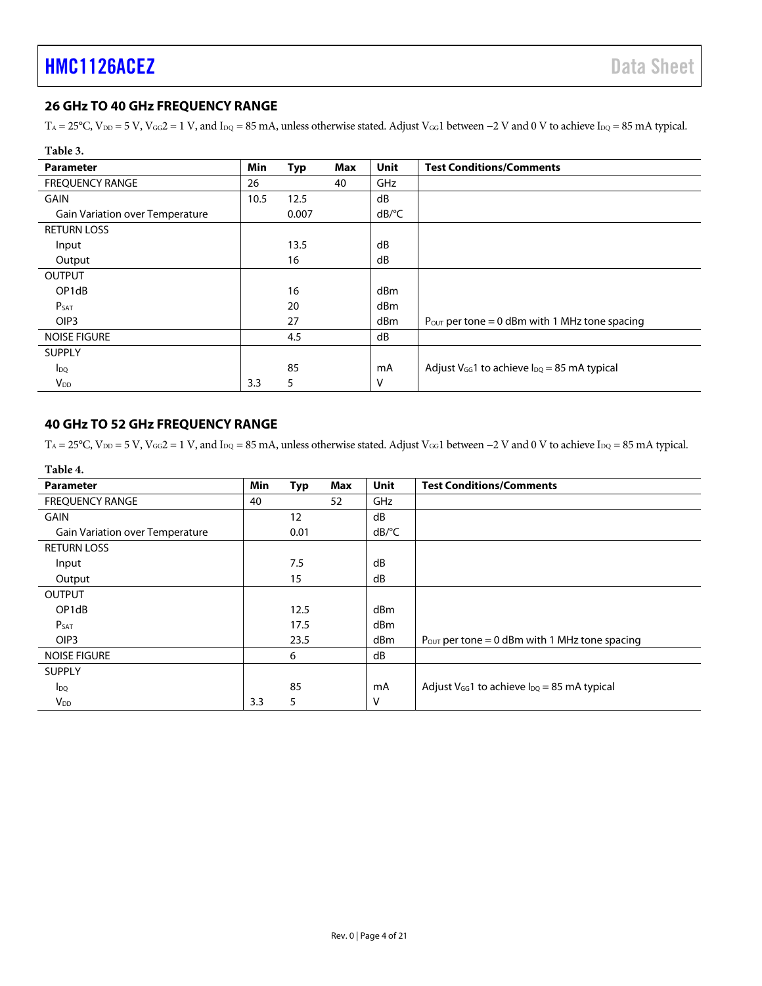## <span id="page-3-0"></span>**26 GHz TO 40 GHz FREQUENCY RANGE**

T<sub>A</sub> = 25°C, V<sub>DD</sub> = 5 V, V<sub>GG</sub>2 = 1 V, and I<sub>DQ</sub> = 85 mA, unless otherwise stated. Adjust V<sub>GG</sub>1 between −2 V and 0 V to achieve I<sub>DQ</sub> = 85 mA typical.

| Table 3.                               |      |            |            |                       |                                                           |
|----------------------------------------|------|------------|------------|-----------------------|-----------------------------------------------------------|
| <b>Parameter</b>                       | Min  | <b>Typ</b> | <b>Max</b> | <b>Unit</b>           | <b>Test Conditions/Comments</b>                           |
| <b>FREQUENCY RANGE</b>                 | 26   |            | 40         | GHz                   |                                                           |
| <b>GAIN</b>                            | 10.5 | 12.5       |            | dB                    |                                                           |
| <b>Gain Variation over Temperature</b> |      | 0.007      |            | $dB$ <sup>o</sup> $C$ |                                                           |
| <b>RETURN LOSS</b>                     |      |            |            |                       |                                                           |
| Input                                  |      | 13.5       |            | dB                    |                                                           |
| Output                                 |      | 16         |            | dB                    |                                                           |
| <b>OUTPUT</b>                          |      |            |            |                       |                                                           |
| OP1dB                                  |      | 16         |            | d <sub>Bm</sub>       |                                                           |
| P <sub>SAT</sub>                       |      | 20         |            | dBm                   |                                                           |
| OIP <sub>3</sub>                       |      | 27         |            | d <sub>Bm</sub>       | $P_{\text{OUT}}$ per tone = 0 dBm with 1 MHz tone spacing |
| <b>NOISE FIGURE</b>                    |      | 4.5        |            | dB                    |                                                           |
| <b>SUPPLY</b>                          |      |            |            |                       |                                                           |
| $I_{\text{DQ}}$                        |      | 85         |            | mA                    | Adjust $V_{GG}$ 1 to achieve $I_{DQ}$ = 85 mA typical     |
| V <sub>DD</sub>                        | 3.3  | 5          |            | v                     |                                                           |

### <span id="page-3-1"></span>**40 GHz TO 52 GHz FREQUENCY RANGE**

T<sub>A</sub> = 25°C, V<sub>DD</sub> = 5 V, V<sub>GG</sub>2 = 1 V, and I<sub>DQ</sub> = 85 mA, unless otherwise stated. Adjust V<sub>GG</sub>1 between −2 V and 0 V to achieve I<sub>DQ</sub> = 85 mA typical.

| Table 4.                               |     |      |     |             |                                                           |
|----------------------------------------|-----|------|-----|-------------|-----------------------------------------------------------|
| <b>Parameter</b>                       | Min | Typ  | Max | <b>Unit</b> | <b>Test Conditions/Comments</b>                           |
| <b>FREQUENCY RANGE</b>                 | 40  |      | 52  | GHz         |                                                           |
| <b>GAIN</b>                            |     | 12   |     | dB          |                                                           |
| <b>Gain Variation over Temperature</b> |     | 0.01 |     | dB/°C       |                                                           |
| <b>RETURN LOSS</b>                     |     |      |     |             |                                                           |
| Input                                  |     | 7.5  |     | dB          |                                                           |
| Output                                 |     | 15   |     | dB          |                                                           |
| <b>OUTPUT</b>                          |     |      |     |             |                                                           |
| OP1dB                                  |     | 12.5 |     | dBm         |                                                           |
| $P_{SAT}$                              |     | 17.5 |     | dBm         |                                                           |
| OIP <sub>3</sub>                       |     | 23.5 |     | dBm         | $P_{\text{OUT}}$ per tone = 0 dBm with 1 MHz tone spacing |
| <b>NOISE FIGURE</b>                    |     | 6    |     | dB          |                                                           |
| <b>SUPPLY</b>                          |     |      |     |             |                                                           |
| $I_{\text{DQ}}$                        |     | 85   |     | mA          | Adjust $V_{GG}$ 1 to achieve $I_{DQ}$ = 85 mA typical     |
| $V_{DD}$                               | 3.3 | 5    |     | V           |                                                           |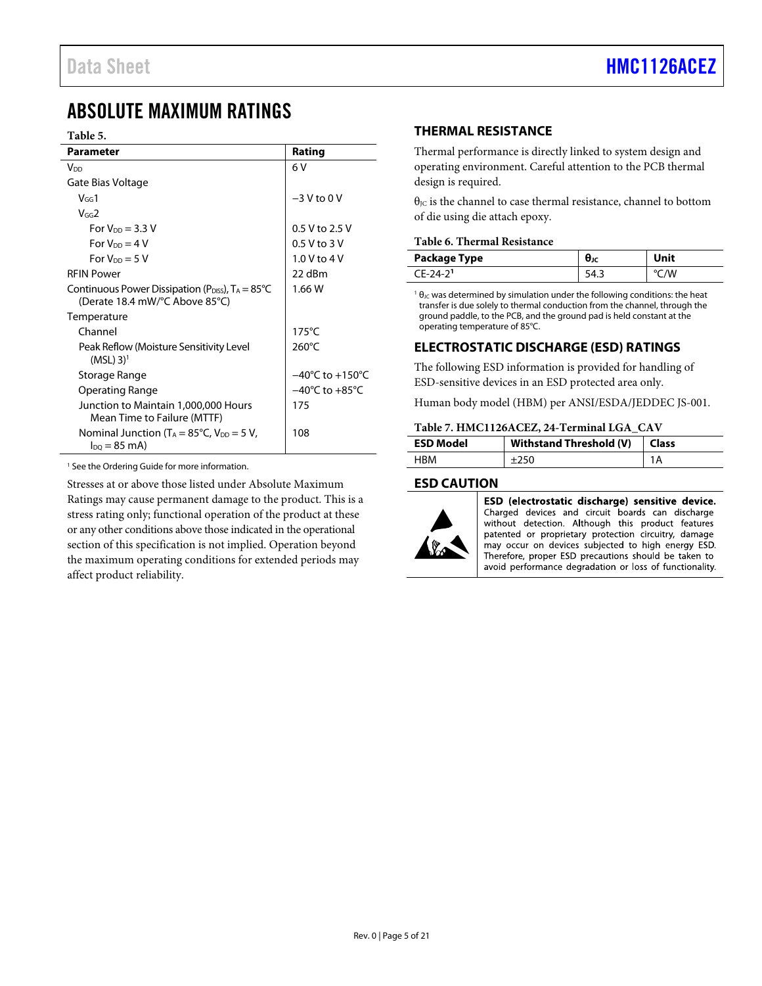## <span id="page-4-0"></span>ABSOLUTE MAXIMUM RATINGS

#### <span id="page-4-5"></span>**Table 5.**

| <b>Parameter</b>                                                                            | Rating                              |
|---------------------------------------------------------------------------------------------|-------------------------------------|
| V <sub>DD</sub>                                                                             | 6 V                                 |
| Gate Bias Voltage                                                                           |                                     |
| $V_{GG}1$                                                                                   | $-3$ V to 0 V                       |
| $V$ <sub>GG</sub> $2$                                                                       |                                     |
| For $V_{DD} = 3.3$ V                                                                        | 0.5 V to 2.5 V                      |
| For $V_{DD} = 4 V$                                                                          | $0.5$ V to 3 V                      |
| For $V_{DD} = 5 V$                                                                          | 1.0 V to 4 V                        |
| <b>RFIN Power</b>                                                                           | 22 dBm                              |
| Continuous Power Dissipation ( $P_{DIS}$ ), $T_A = 85^{\circ}C$                             | 1.66 W                              |
| (Derate 18.4 mW/°C Above 85°C)                                                              |                                     |
| Temperature                                                                                 |                                     |
| Channel                                                                                     | $175^{\circ}$ C                     |
| Peak Reflow (Moisture Sensitivity Level<br>$(MSL)$ 3) <sup>1</sup>                          | $260^{\circ}$ C                     |
| Storage Range                                                                               | $-40^{\circ}$ C to $+150^{\circ}$ C |
| <b>Operating Range</b>                                                                      | $-40^{\circ}$ C to $+85^{\circ}$ C  |
| Junction to Maintain 1,000,000 Hours<br>Mean Time to Failure (MTTF)                         | 175                                 |
| Nominal Junction ( $T_A = 85^{\circ}$ C, $V_{DD} = 5$ V,<br>$I_{\text{DO}} = 85 \text{ mA}$ | 108                                 |

<sup>1</sup> See th[e Ordering](#page-20-1) Guide for more information.

<span id="page-4-4"></span>Stresses at or above those listed under Absolute Maximum Ratings may cause permanent damage to the product. This is a stress rating only; functional operation of the product at these or any other conditions above those indicated in the operational section of this specification is not implied. Operation beyond the maximum operating conditions for extended periods may affect product reliability.

## <span id="page-4-1"></span>**THERMAL RESISTANCE**

Thermal performance is directly linked to system design and operating environment. Careful attention to the PCB thermal design is required.

θ<sub>JC</sub> is the channel to case thermal resistance, channel to bottom of die using die attach epoxy.

#### **Table 6. Thermal Resistance**

| Package Type | θк   | Unit |
|--------------|------|------|
| $(F-24-2)$   | ر. ۳ |      |

 $1\theta$ <sub>JC</sub> was determined by simulation under the following conditions: the heat transfer is due solely to thermal conduction from the channel, through the ground paddle, to the PCB, and the ground pad is held constant at the operating temperature of 85°C.

#### <span id="page-4-2"></span>**ELECTROSTATIC DISCHARGE (ESD) RATINGS**

The following ESD information is provided for handling of ESD-sensitive devices in an ESD protected area only.

Human body model (HBM) per ANSI/ESDA/JEDDEC JS-001.

#### **Table 7. HMC1126ACEZ, 24-Terminal LGA\_CAV**

| <b>ESD Model</b> | Withstand Threshold (V) | <b>Class</b> |
|------------------|-------------------------|--------------|
| <b>HRM</b>       |                         |              |

#### <span id="page-4-3"></span>**ESD CAUTION**



ESD (electrostatic discharge) sensitive device. Charged devices and circuit boards can discharge without detection. Although this product features patented or proprietary protection circuitry, damage may occur on devices subjected to high energy ESD. Therefore, proper ESD precautions should be taken to avoid performance degradation or loss of functionality.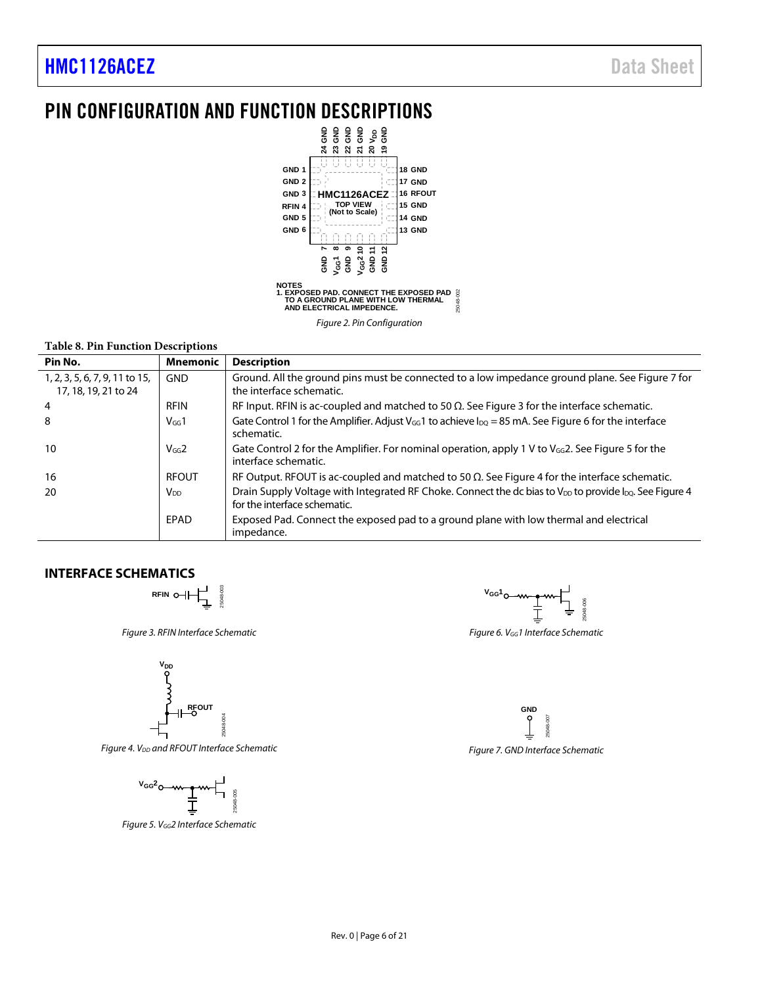## PIN CONFIGURATION AND FUNCTION DESCRIPTIONS



*Figure 2. Pin Configuration*

#### **Table 8. Pin Function Descriptions**

| Pin No.                                                | <b>Mnemonic</b>        | <b>Description</b>                                                                                                                                       |
|--------------------------------------------------------|------------------------|----------------------------------------------------------------------------------------------------------------------------------------------------------|
| 1, 2, 3, 5, 6, 7, 9, 11 to 15,<br>17, 18, 19, 21 to 24 | <b>GND</b>             | Ground. All the ground pins must be connected to a low impedance ground plane. See Figure 7 for<br>the interface schematic.                              |
| $\overline{4}$                                         | <b>RFIN</b>            | RF Input. RFIN is ac-coupled and matched to 50 $\Omega$ . See Figure 3 for the interface schematic.                                                      |
| 8                                                      | $V$ <sub>GG</sub> $1$  | Gate Control 1 for the Amplifier. Adjust $V_{\text{G}}$ to achieve $I_{\text{DO}} = 85$ mA. See Figure 6 for the interface<br>schematic.                 |
| 10                                                     | $V$ <sub>GG</sub> $2$  | Gate Control 2 for the Amplifier. For nominal operation, apply 1 V to $V_{\text{GG}}$ ? See Figure 5 for the<br>interface schematic.                     |
| 16                                                     | <b>RFOUT</b>           | RF Output. RFOUT is ac-coupled and matched to 50 $\Omega$ . See Figure 4 for the interface schematic.                                                    |
| 20                                                     | <b>V</b> <sub>DD</sub> | Drain Supply Voltage with Integrated RF Choke. Connect the dc bias to V <sub>DD</sub> to provide $I_{DQ}$ . See Figure 4<br>for the interface schematic. |
|                                                        | <b>FPAD</b>            | Exposed Pad. Connect the exposed pad to a ground plane with low thermal and electrical<br>impedance.                                                     |

### <span id="page-5-2"></span><span id="page-5-0"></span>**INTERFACE SCHEMATICS**

**RFIN**

*Figure 3. RFIN Interface Schematic*

25048-003



<span id="page-5-5"></span>**Figure 4. V<sub>DD</sub>** and RFOUT Interface Schematic



<span id="page-5-4"></span>*Figure 5. VGG2 Interface Schematic*



<span id="page-5-3"></span>*Figure 6. VGG1 Interface Schematic*

<span id="page-5-1"></span>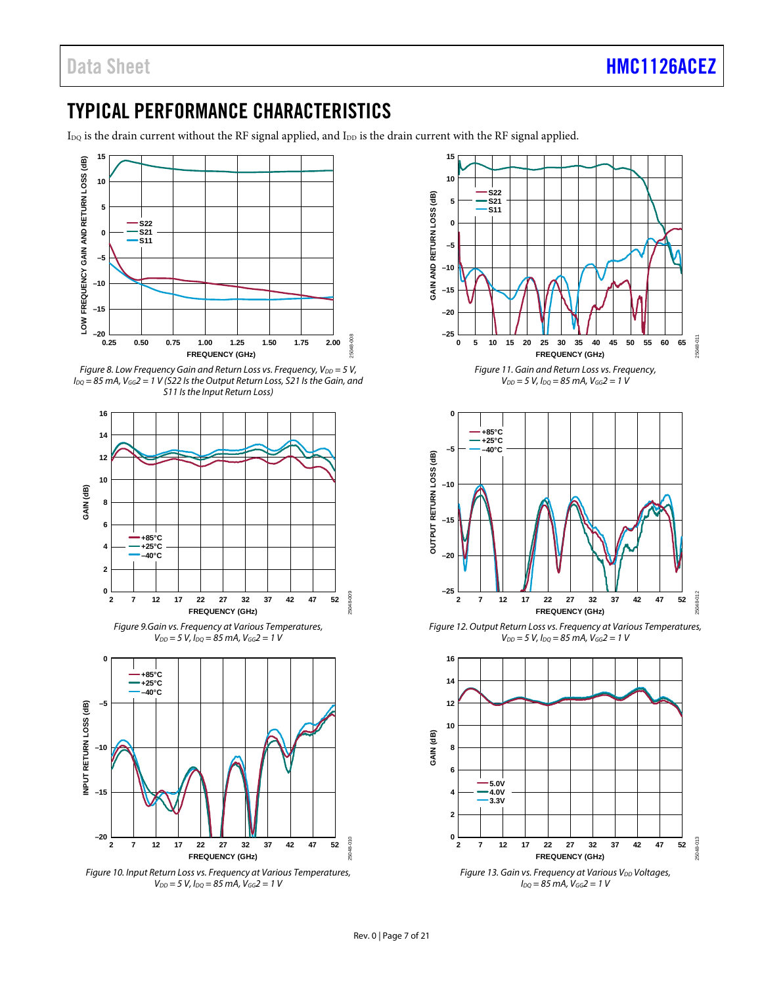## <span id="page-6-0"></span>TYPICAL PERFORMANCE CHARACTERISTICS

I<sub>DQ</sub> is the drain current without the RF signal applied, and I<sub>DD</sub> is the drain current with the RF signal applied.



*Figure 8. Low Frequency Gain and Return Loss vs. Frequency, V<sub>DD</sub> = 5 V, IDQ = 85 mA, VGG2 = 1 V (S22 Is the Output Return Loss, S21 Is the Gain, and S11 Is the Input Return Loss)*



*Figure 9.Gain vs. Frequency at Various Temperatures, VDD = 5 V, IDQ = 85 mA, VGG2 = 1 V*



*Figure 10. Input Return Loss vs. Frequency at Various Temperatures, VDD = 5 V, IDQ = 85 mA, VGG2 = 1 V*



 $V_{DD} = 5 V$ ,  $I_{DQ} = 85 mA$ ,  $V_{GG} = 1 V$ 



*Figure 12. Output Return Loss vs. Frequency at Various Temperatures, VDD = 5 V, IDQ = 85 mA, VGG2 = 1 V*

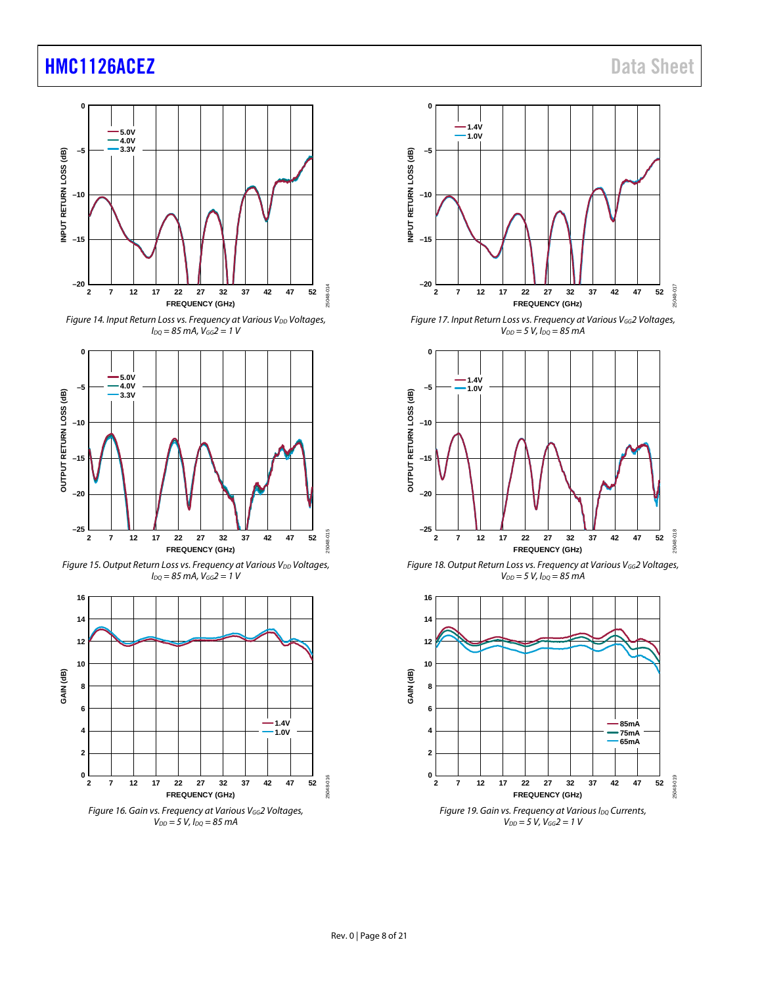





*Figure 15. Output Return Loss vs. Frequency at Various V<sub>DD</sub> Voltages, IDQ = 85 mA, VGG2 = 1 V*





*Figure 17. Input Return Loss vs. Frequency at Various VGG2 Voltages, VDD = 5 V, IDQ = 85 mA*



*Figure 18. Output Return Loss vs. Frequency at Various VGG2 Voltages,*   $V_{DD} = 5 V$ ,  $I_{DQ} = 85 mA$ 

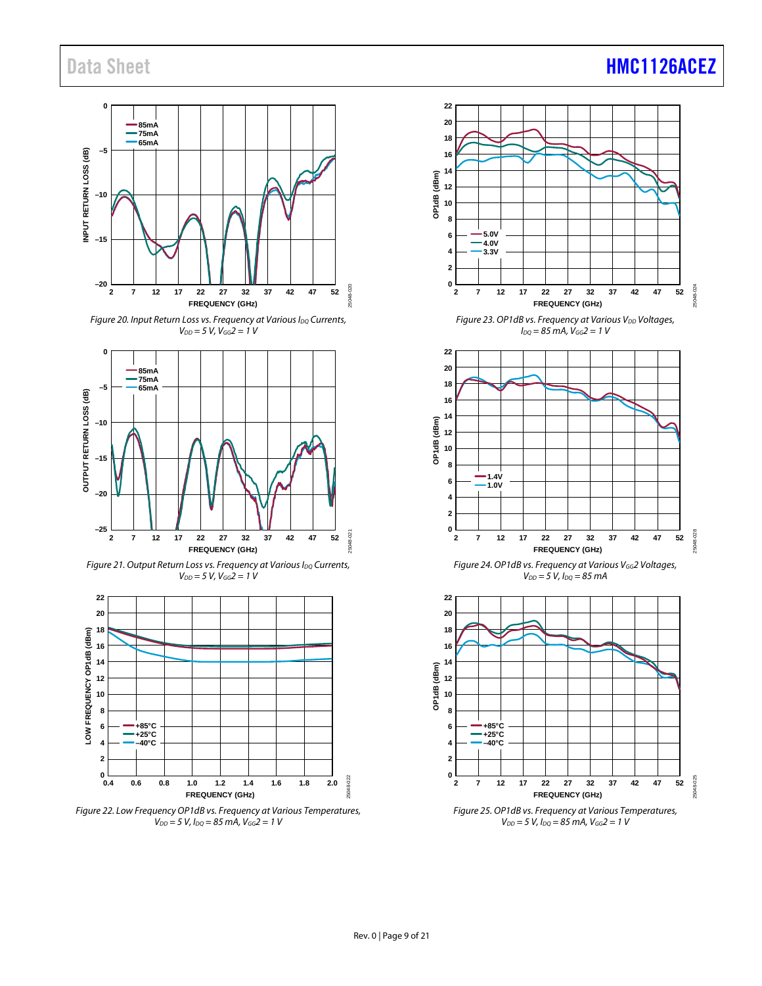#### **0 85mA 75mA 65mA** INPUT RETURN LOSS (dB) **–5 INPUT RETURN LOSS (dB) –10 –15 –20** non. 25048-020 **2 7 12 17 22 27 32 37 42 47 52** :5048 **FREQUENCY (GHz)**

*Figure 20. Input Return Loss vs. Frequency at Various I<sub>DQ</sub> Currents, VDD = 5 V, VGG2 = 1 V*











## Data Sheet **[HMC1126ACEZ](https://www.analog.com/HMC1126ACEZ?doc=HMC1126ACEZ.pdf)**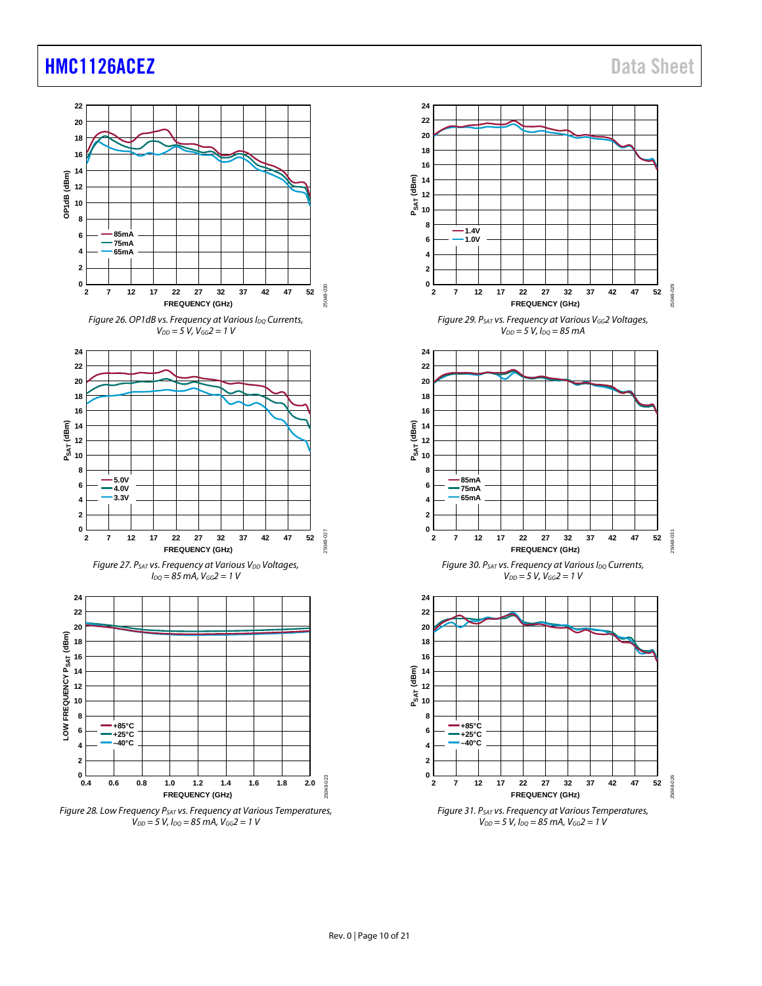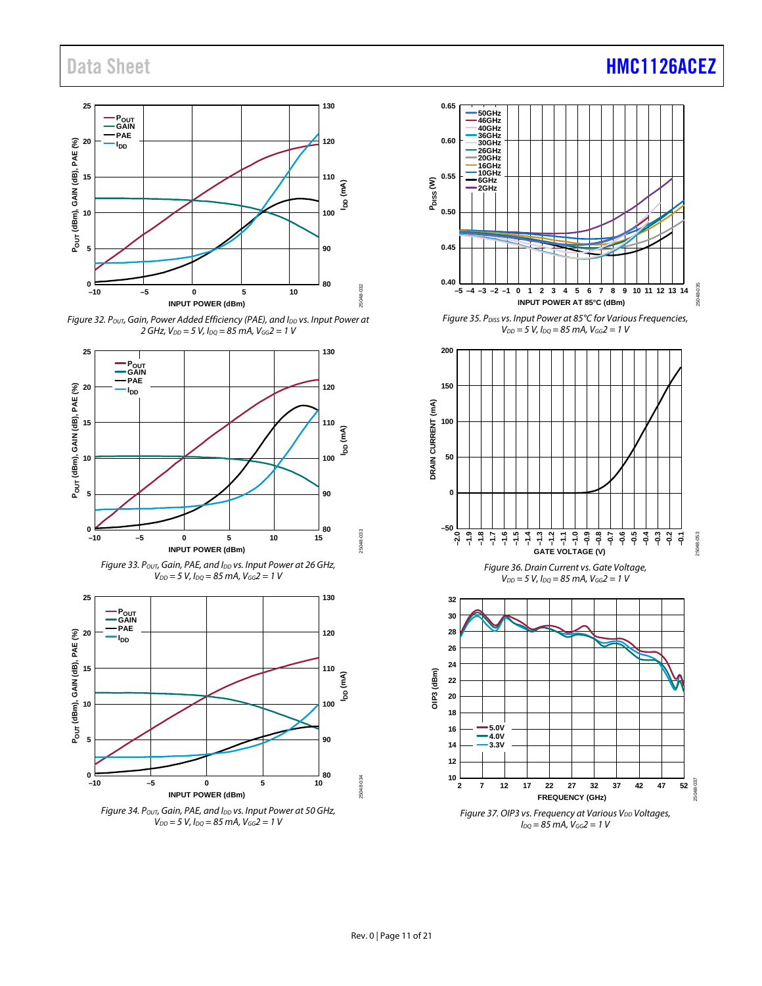

*Figure* 32. *Pout, Gain, Power Added Efficiency (PAE), and I<sub>DD</sub> vs. Input Power at 2 GHz, VDD = 5 V, IDQ = 85 mA, VGG2 = 1 V*











**–1.3 –1.2 –1.1 –1.0 –0.9 –0.8 –0.7**

**GATE VOLTAGE (V)**

*Figure 36. Drain Current vs. Gate Voltage,*   $V_{DD} = 5 V$ ,  $I_{DO} = 85 mA$ ,  $V_{GG} = 1 V$ 

**–0.6 –0.5 –0.4 –0.3 –0.2 –0.1**

25048-053

25048-053

## Data Sheet **[HMC1126ACEZ](https://www.analog.com/HMC1126ACEZ?doc=HMC1126ACEZ.pdf)**

**–50**

**–2.0 –1.9 –1.8 –1.7 –1.6 –1.5 –1.4**

**0**

**50**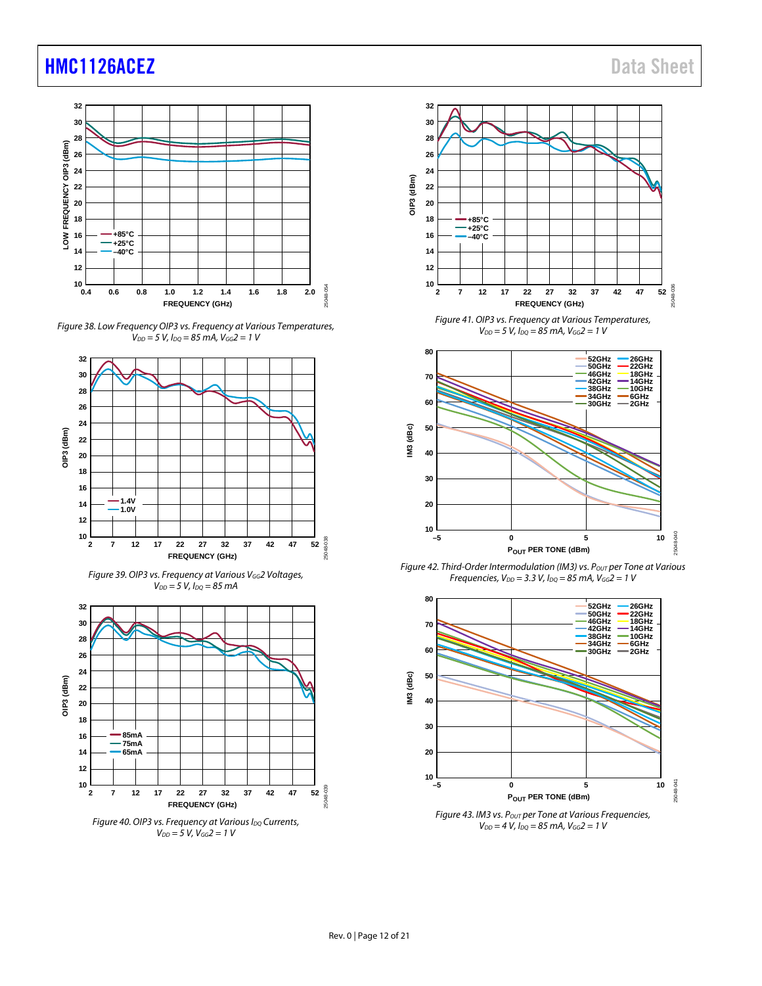











*Figure 41. OIP3 vs. Frequency at Various Temperatures, VDD = 5 V, IDQ = 85 mA, VGG2 = 1 V*



*Figure 42. Third-Order Intermodulation (IM3) vs. Pout per Tone at Various Frequencies, VDD = 3.3 V, IDQ = 85 mA, VGG2 = 1 V*



*VDD = 4 V, IDQ = 85 mA, VGG2 = 1 V*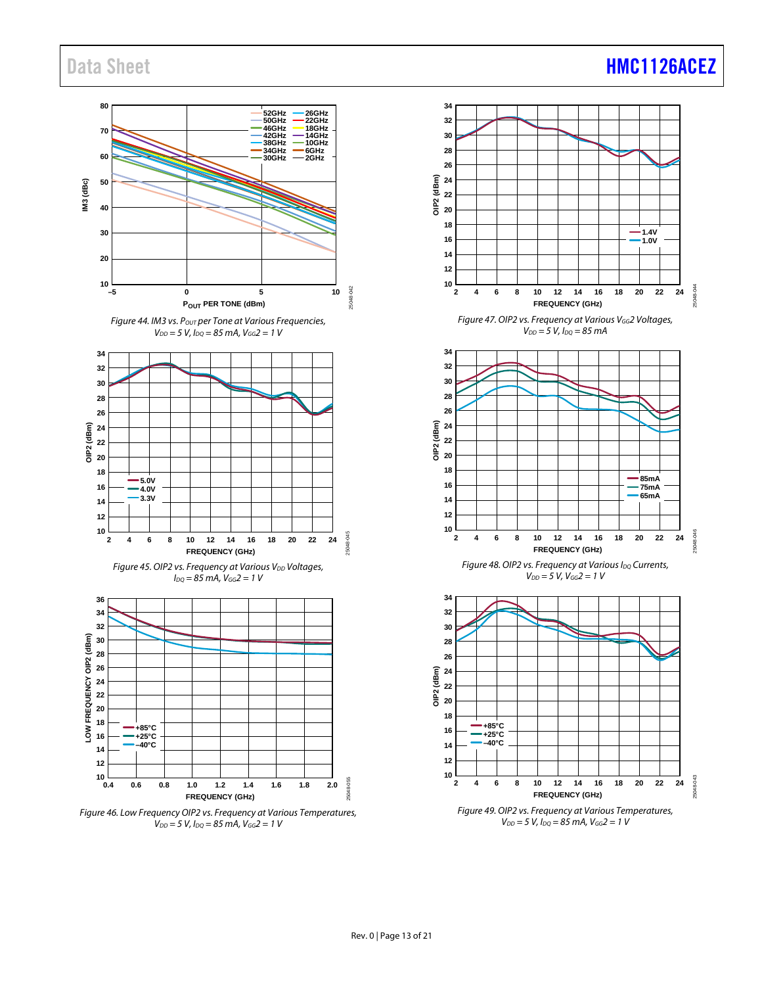## Data Sheet **[HMC1126ACEZ](https://www.analog.com/HMC1126ACEZ?doc=HMC1126ACEZ.pdf)**

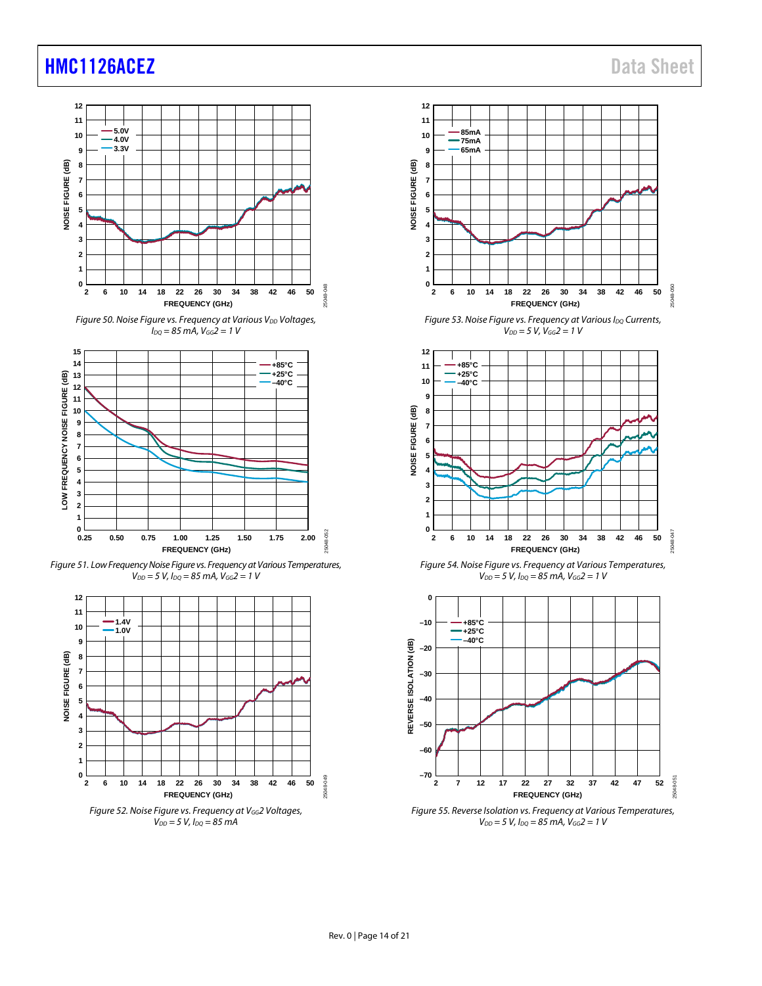

*Figure* 50. Noise Figure vs. Frequency at Various V<sub>DD</sub> Voltages, *IDQ = 85 mA, VGG2 = 1 V*



*Figure 51. Low FrequencyNoise Figure vs. Frequency at Various Temperatures, VDD = 5 V, IDQ = 85 mA, VGG2 = 1 V*





*Figure* 53. Noise Figure vs. *Frequency* at Various I<sub>DQ</sub> Currents, *VDD = 5 V, VGG2 = 1 V*



*Figure 54. Noise Figure vs. Frequency at Various Temperatures, VDD = 5 V, IDQ = 85 mA, VGG2 = 1 V*



*Figure 55. Reverse Isolation vs. Frequency at Various Temperatures,*   $V_{DD} = 5 V$ ,  $I_{DQ} = 85 mA$ ,  $V_{GG} = 1 V$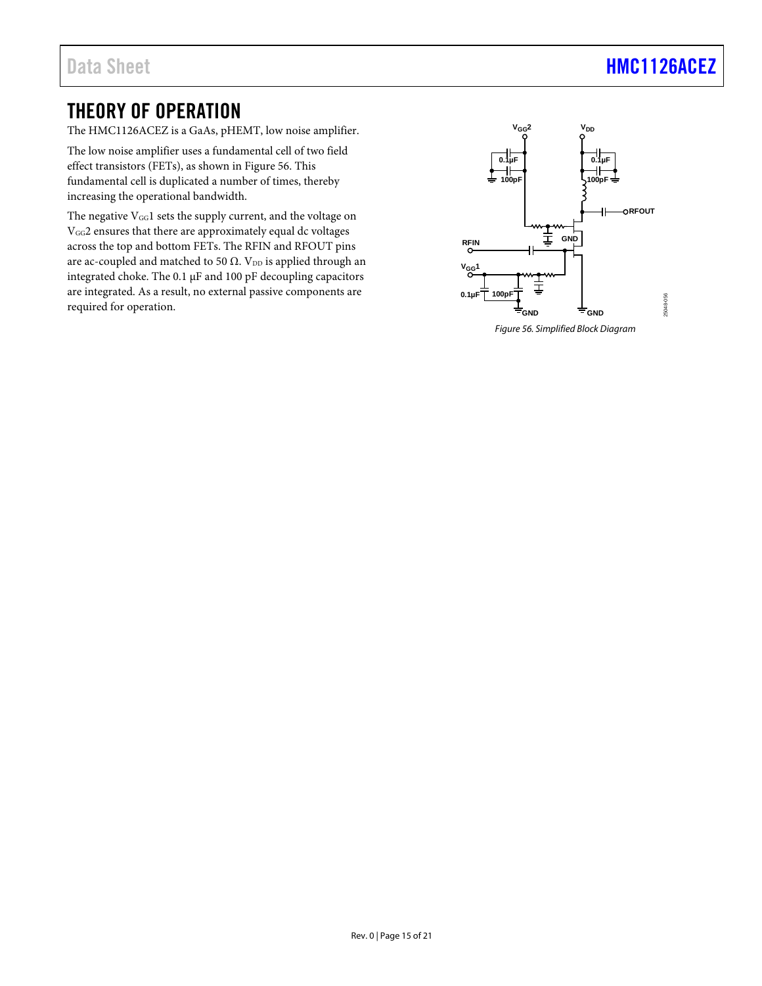## Data Sheet **[HMC1126ACEZ](https://www.analog.com/HMC1126ACEZ?doc=HMC1126ACEZ.pdf)**

## <span id="page-14-0"></span>THEORY OF OPERATION

The HMC1126ACEZ is a GaAs, pHEMT, low noise amplifier.

The low noise amplifier uses a fundamental cell of two field effect transistors (FETs), as shown i[n Figure](#page-14-1) 56. This fundamental cell is duplicated a number of times, thereby increasing the operational bandwidth.

The negative  $V_{GG}1$  sets the supply current, and the voltage on VGG2 ensures that there are approximately equal dc voltages across the top and bottom FETs. The RFIN and RFOUT pins are ac-coupled and matched to 50  $\Omega$ . V<sub>DD</sub> is applied through an integrated choke. The 0.1 μF and 100 pF decoupling capacitors are integrated. As a result, no external passive components are required for operation.



<span id="page-14-1"></span>*Figure 56. Simplified Block Diagram*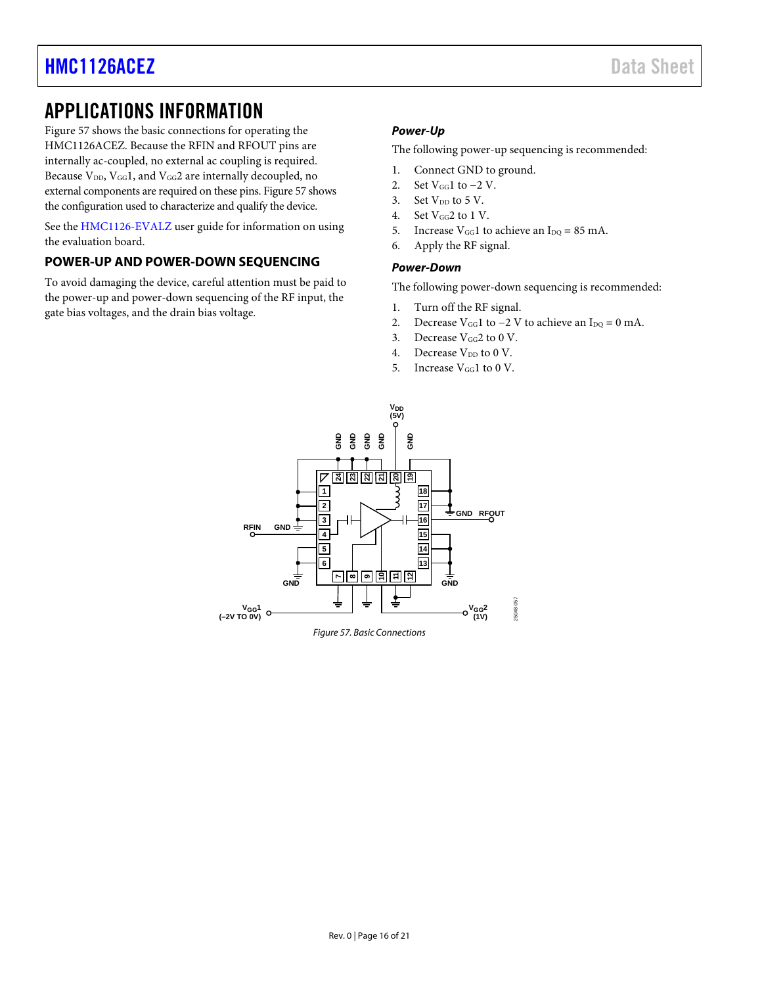## <span id="page-15-0"></span>APPLICATIONS INFORMATION

[Figure 57](#page-15-2) shows the basic connections for operating the HMC1126ACEZ. Because the RFIN and RFOUT pins are internally ac-coupled, no external ac coupling is required. Because V<sub>DD</sub>, V<sub>GG</sub>1, and V<sub>GG</sub>2 are internally decoupled, no external components are required on these pins. [Figure 57](#page-15-2) shows the configuration used to characterize and qualify the device.

See the [HMC1126-EVALZ](https://www.analog.com/EVAL-HMC1126?doc=HMC1126ACEZ.pdf) user guide for information on using the evaluation board.

## <span id="page-15-1"></span>**POWER-UP AND POWER-DOWN SEQUENCING**

To avoid damaging the device, careful attention must be paid to the power-up and power-down sequencing of the RF input, the gate bias voltages, and the drain bias voltage.

### *Power-Up*

The following power-up sequencing is recommended:

- 1. Connect GND to ground.
- 2. Set  $V_{GG}1$  to  $-2$  V.
- 3. Set  $V_{DD}$  to 5 V.
- 4. Set  $V_{GG}$ 2 to 1 V.
- 5. Increase  $V_{GG}1$  to achieve an  $I_{DQ} = 85$  mA.
- 6. Apply the RF signal.

#### *Power-Down*

The following power-down sequencing is recommended:

- 1. Turn off the RF signal.
- 2. Decrease V<sub>GG</sub>1 to  $-2$  V to achieve an I<sub>DQ</sub> = 0 mA.
- 3. Decrease  $V_{GG}$ 2 to 0 V.
- 4. Decrease  $V_{DD}$  to 0 V.
- 5. Increase  $V_{GG}1$  to 0 V.

<span id="page-15-2"></span>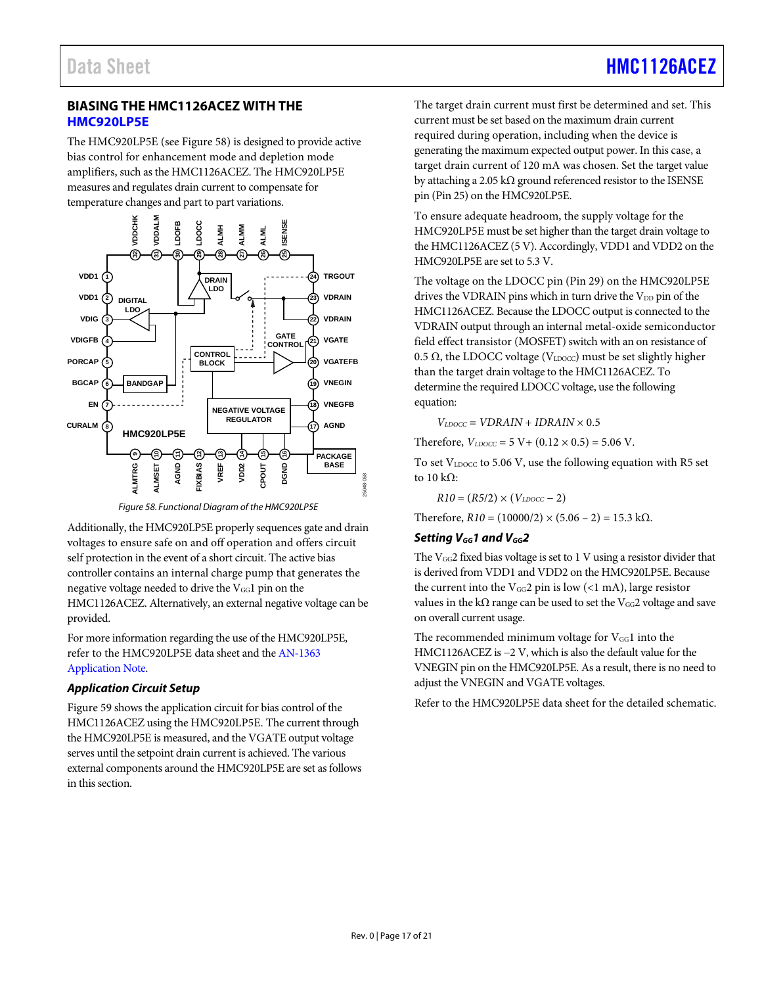## <span id="page-16-0"></span>**BIASING THE HMC1126ACEZ WITH THE [HMC920LP5E](https://www.analog.com/HMC920LP5E?doc=HMC1126ACEZ.pdf)**

The HMC920LP5E (se[e Figure](#page-16-1) 58) is designed to provide active bias control for enhancement mode and depletion mode amplifiers, such as the HMC1126ACEZ. The HMC920LP5E measures and regulates drain current to compensate for temperature changes and part to part variations.



*Figure 58. Functional Diagram of the HMC920LP5E*

<span id="page-16-1"></span>Additionally, the HMC920LP5E properly sequences gate and drain voltages to ensure safe on and off operation and offers circuit self protection in the event of a short circuit. The active bias controller contains an internal charge pump that generates the negative voltage needed to drive the  $V_{GG}1$  pin on the HMC1126ACEZ. Alternatively, an external negative voltage can be provided.

For more information regarding the use of the HMC920LP5E, refer to the HMC920LP5E data sheet and th[e AN-1363](https://www.analog.com/en/app-notes/an-1363.html?doc=HMC1126ACEZ.pdf) [Application Note.](https://www.analog.com/en/app-notes/an-1363.html?doc=HMC1126ACEZ.pdf)

### *Application Circuit Setup*

[Figure](#page-17-0) 59 shows the application circuit for bias control of the HMC1126ACEZ using the HMC920LP5E. The current through the HMC920LP5E is measured, and the VGATE output voltage serves until the setpoint drain current is achieved. The various external components around the HMC920LP5E are set as follows in this section.

The target drain current must first be determined and set. This current must be set based on the maximum drain current required during operation, including when the device is generating the maximum expected output power. In this case, a target drain current of 120 mA was chosen. Set the target value by attaching a 2.05 k $\Omega$  ground referenced resistor to the ISENSE pin (Pin 25) on the HMC920LP5E.

To ensure adequate headroom, the supply voltage for the HMC920LP5E must be set higher than the target drain voltage to the HMC1126ACEZ (5 V). Accordingly, VDD1 and VDD2 on the HMC920LP5E are set to 5.3 V.

The voltage on the LDOCC pin (Pin 29) on the HMC920LP5E drives the VDRAIN pins which in turn drive the V<sub>DD</sub> pin of the HMC1126ACEZ. Because the LDOCC output is connected to the VDRAIN output through an internal metal-oxide semiconductor field effect transistor (MOSFET) switch with an on resistance of 0.5  $\Omega$ , the LDOCC voltage (VLDOCC) must be set slightly higher than the target drain voltage to the HMC1126ACEZ. To determine the required LDOCC voltage, use the following equation:

 $V_{LDOCC}$  =  $VDRAIN$  +  $IDRAIN$   $\times$  0.5

Therefore,  $V_{LDOCC} = 5 \text{ V} + (0.12 \times 0.5) = 5.06 \text{ V}$ .

To set  $V_{LDOCC}$  to 5.06 V, use the following equation with R5 set to 10 kΩ:

 $R10 = (R5/2) \times (V_{LDOCC} - 2)$ 

Therefore,  $R10 = (10000/2) \times (5.06 - 2) = 15.3$  kΩ.

## Setting V<sub>GG</sub>1 and V<sub>GG</sub>2

The  $V_{GG}$ 2 fixed bias voltage is set to 1 V using a resistor divider that is derived from VDD1 and VDD2 on the HMC920LP5E. Because the current into the  $V_{GG}2$  pin is low (<1 mA), large resistor values in the k $\Omega$  range can be used to set the V<sub>GG</sub>2 voltage and save on overall current usage.

The recommended minimum voltage for  $V_{GG}1$  into the HMC1126ACEZ is −2 V, which is also the default value for the VNEGIN pin on the HMC920LP5E. As a result, there is no need to adjust the VNEGIN and VGATE voltages.

Refer to the HMC920LP5E data sheet for the detailed schematic.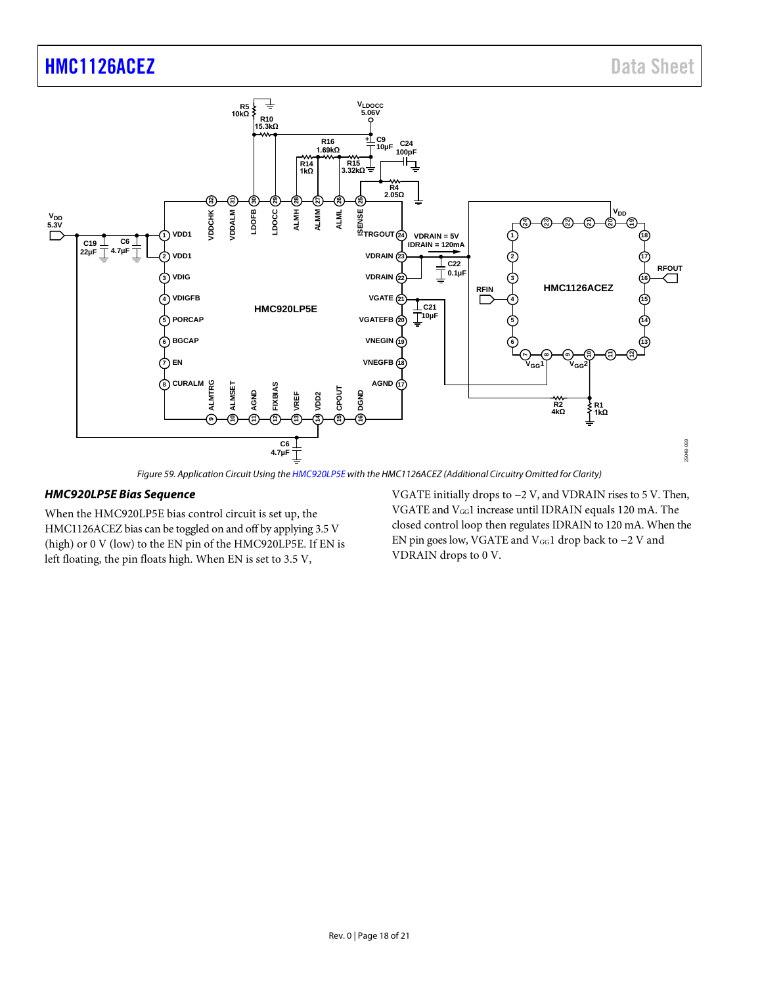

*Figure 59. Application Circuit Using th[e HMC920LP5E](https://www.analog.com/HMC920LP5E?doc=HMC1126ACEZ.pdf) with the HMC1126ACEZ (Additional Circuitry Omitted for Clarity)*

#### <span id="page-17-0"></span>*HMC920LP5E Bias Sequence*

When the HMC920LP5E bias control circuit is set up, the HMC1126ACEZ bias can be toggled on and off by applying 3.5 V (high) or 0 V (low) to the EN pin of the HMC920LP5E. If EN is left floating, the pin floats high. When EN is set to 3.5 V,

VGATE initially drops to −2 V, and VDRAIN rises to 5 V. Then, VGATE and VGG1 increase until IDRAIN equals 120 mA. The closed control loop then regulates IDRAIN to 120 mA. When the EN pin goes low, VGATE and VGG1 drop back to −2 V and VDRAIN drops to 0 V.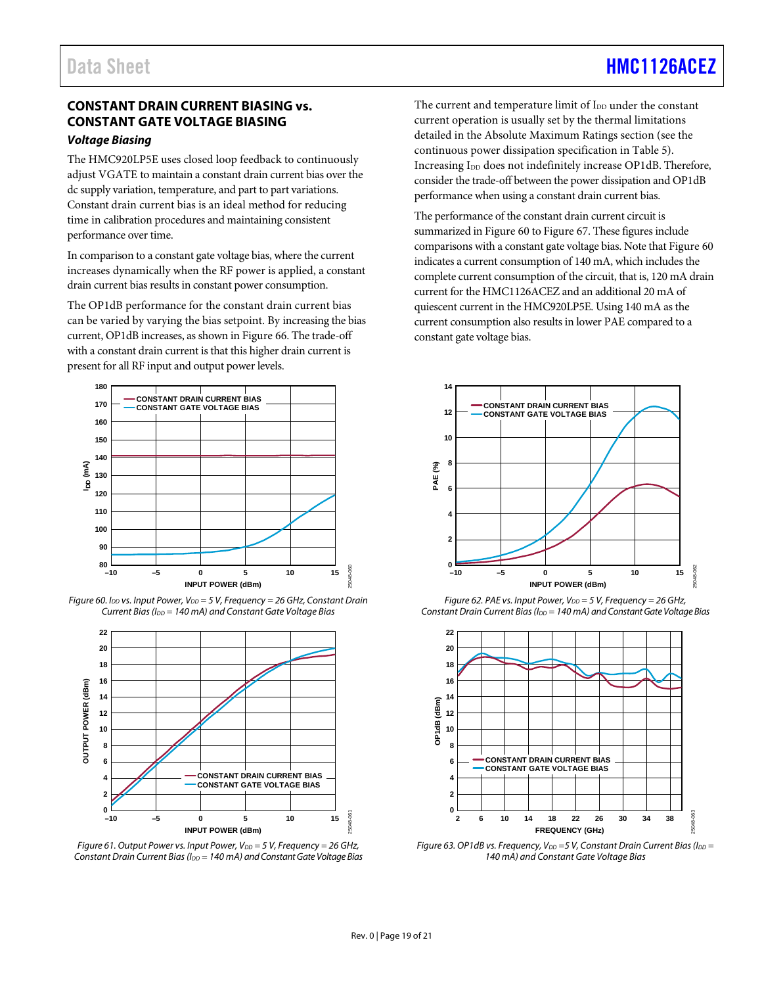## Data Sheet **[HMC1126ACEZ](https://www.analog.com/HMC1126ACEZ?doc=HMC1126ACEZ.pdf)**

## <span id="page-18-0"></span>**CONSTANT DRAIN CURRENT BIASING vs. CONSTANT GATE VOLTAGE BIASING**

#### *Voltage Biasing*

The HMC920LP5E uses closed loop feedback to continuously adjust VGATE to maintain a constant drain current bias over the dc supply variation, temperature, and part to part variations. Constant drain current bias is an ideal method for reducing time in calibration procedures and maintaining consistent performance over time.

In comparison to a constant gate voltage bias, where the current increases dynamically when the RF power is applied, a constant drain current bias results in constant power consumption.

The OP1dB performance for the constant drain current bias can be varied by varying the bias setpoint. By increasing the bias current, OP1dB increases, as shown in [Figure 66.](#page-19-0) The trade-off with a constant drain current is that this higher drain current is present for all RF input and output power levels.



<span id="page-18-1"></span>*Figure* 60. I<sub>DD</sub> vs. Input Power, V<sub>DD</sub> = 5 V, Frequency = 26 GHz, Constant Drain *Current Bias (IDD = 140 mA) and Constant Gate Voltage Bias*



*Figure* 61. Output Power *vs. Input Power, V<sub>DD</sub>* = 5 V, *Frequency* = 26 GHz, *Constant Drain Current Bias (I<sub>DD</sub> = 140 mA) and Constant Gate Voltage Bias* 

The current and temperature limit of I<sub>DD</sub> under the constant current operation is usually set by the thermal limitations detailed in th[e Absolute Maximum Ratings](#page-4-0) section (see the continuous power dissipation specification in [Table 5\)](#page-4-5). Increasing I<sub>DD</sub> does not indefinitely increase OP1dB. Therefore, consider the trade-off between the power dissipation and OP1dB performance when using a constant drain current bias.

The performance of the constant drain current circuit is summarized i[n Figure](#page-18-1) 60 t[o Figure 67.](#page-19-1) These figures include comparisons with a constant gate voltage bias. Note tha[t Figure](#page-18-1) 60 indicates a current consumption of 140 mA, which includes the complete current consumption of the circuit, that is, 120 mA drain current for the HMC1126ACEZ and an additional 20 mA of quiescent current in the HMC920LP5E. Using 140 mA as the current consumption also results in lower PAE compared to a constant gate voltage bias.



*Figure* 62. PAE vs. *Input Power, V<sub>DD</sub>* = 5 V, Frequency = 26 GHz, *Constant Drain Current Bias (I<sub>DD</sub> = 140 mA) and Constant Gate Voltage Bias* 



*Figure* 63. OP1dB vs. Frequency,  $V_{DD} = 5$  V, Constant Drain Current Bias (I<sub>DD</sub> = *140 mA) and Constant Gate Voltage Bias*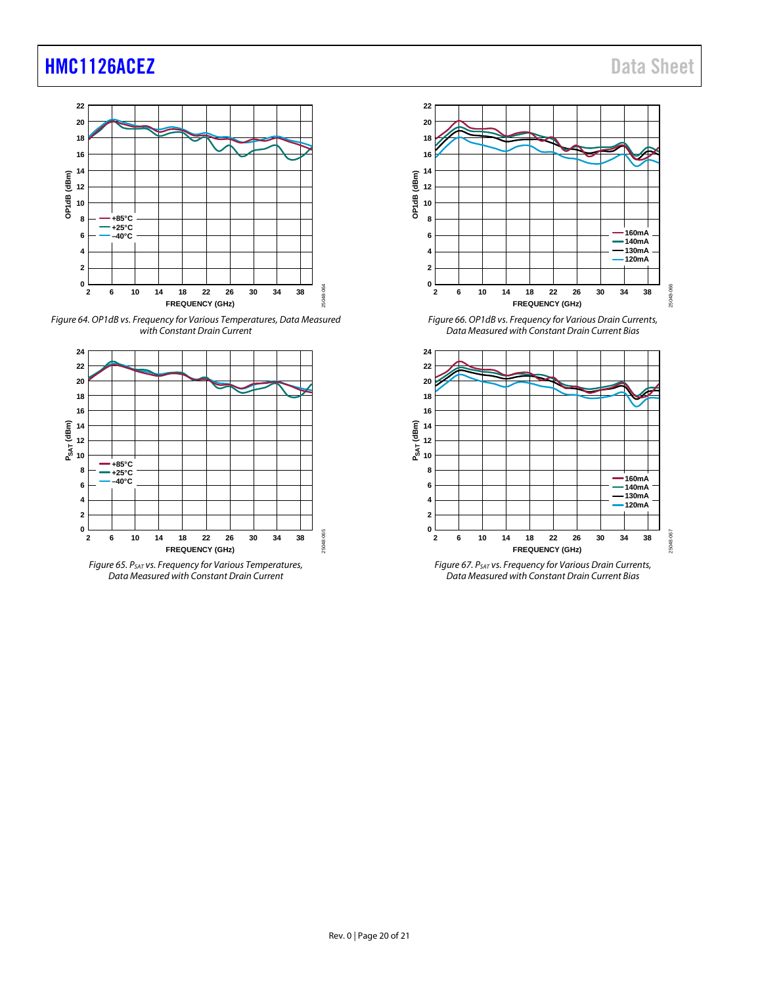

*Figure 64. OP1dB vs. Frequency for Various Temperatures, Data Measured with Constant Drain Current*



*Figure 65. PSAT vs. Frequency for Various Temperatures, Data Measured with Constant Drain Current*



<span id="page-19-0"></span>*Figure 66. OP1dB vs. Frequency for Various Drain Currents, Data Measured with Constant Drain Current Bias*



<span id="page-19-1"></span>*Figure 67. PSAT vs. Frequency for Various Drain Currents, Data Measured with Constant Drain Current Bias*